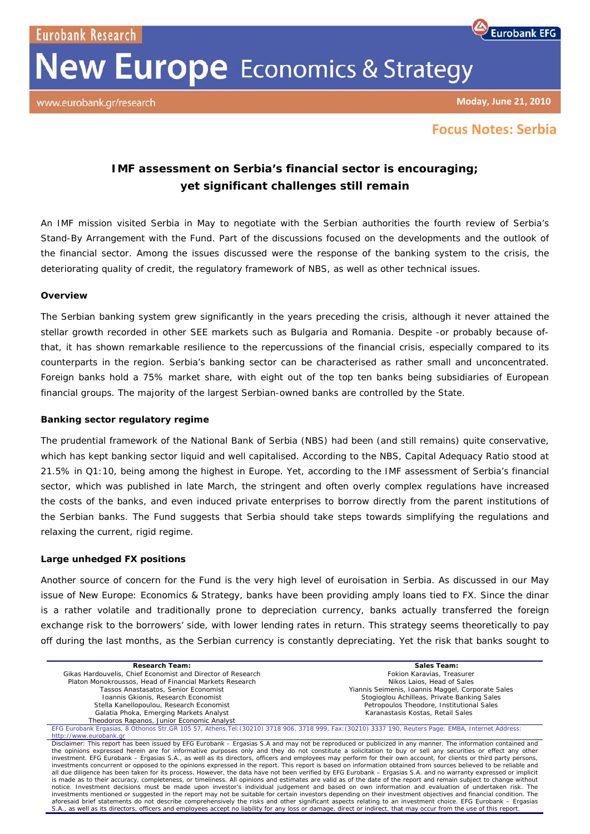Eurobank Research

# **New Europe** Economics & Strategy



**Eurobank EFG** 

# **Focus Notes: Serbia**

# **IMF assessment on Serbia's financial sector is encouraging; yet significant challenges still remain**

An IMF mission visited Serbia in May to negotiate with the Serbian authorities the fourth review of Serbia's Stand-By Arrangement with the Fund. Part of the discussions focused on the developments and the outlook of the financial sector. Among the issues discussed were the response of the banking system to the crisis, the deteriorating quality of credit, the regulatory framework of NBS, as well as other technical issues.

### **Overview**

The Serbian banking system grew significantly in the years preceding the crisis, although it never attained the stellar growth recorded in other SEE markets such as Bulgaria and Romania. Despite -or probably because ofthat, it has shown remarkable resilience to the repercussions of the financial crisis, especially compared to its counterparts in the region. Serbia's banking sector can be characterised as rather small and unconcentrated. Foreign banks hold a 75% market share, with eight out of the top ten banks being subsidiaries of European financial groups. The majority of the largest Serbian-owned banks are controlled by the State.

## **Banking sector regulatory regime**

The prudential framework of the National Bank of Serbia (NBS) had been (and still remains) quite conservative, which has kept banking sector liquid and well capitalised. According to the NBS, Capital Adequacy Ratio stood at 21.5% in Q1:10, being among the highest in Europe. Yet, according to the IMF assessment of Serbia's financial sector, which was published in late March, the stringent and often overly complex regulations have increased the costs of the banks, and even induced private enterprises to borrow directly from the parent institutions of the Serbian banks. The Fund suggests that Serbia should take steps towards simplifying the regulations and relaxing the current, rigid regime.

## **Large unhedged FX positions**

Another source of concern for the Fund is the very high level of euroisation in Serbia. As discussed in our May issue of New Europe: Economics & Strategy, banks have been providing amply loans tied to FX. Since the dinar is a rather volatile and traditionally prone to depreciation currency, banks actually transferred the foreign exchange risk to the borrowers' side, with lower lending rates in return. This strategy seems theoretically to pay off during the last months, as the Serbian currency is constantly depreciating. Yet the risk that banks sought to

| <b>Research Team:</b>                                                                                                                                                                                                                                                                                                                 | Sales Team:                                       |
|---------------------------------------------------------------------------------------------------------------------------------------------------------------------------------------------------------------------------------------------------------------------------------------------------------------------------------------|---------------------------------------------------|
| Gikas Hardouvelis, Chief Economist and Director of Research                                                                                                                                                                                                                                                                           | Fokion Karavias, Treasurer                        |
| Platon Monokroussos, Head of Financial Markets Research                                                                                                                                                                                                                                                                               | Nikos Laios. Head of Sales                        |
| Tassos Anastasatos, Senior Economist                                                                                                                                                                                                                                                                                                  | Yiannis Seimenis, Ioannis Maggel, Corporate Sales |
| Ioannis Gkionis, Research Economist                                                                                                                                                                                                                                                                                                   | Stogioglou Achilleas, Private Banking Sales       |
| Stella Kanellopoulou, Research Economist                                                                                                                                                                                                                                                                                              | Petropoulos Theodore, Institutional Sales         |
| Galatia Phoka, Emerging Markets Analyst                                                                                                                                                                                                                                                                                               | Karanastasis Kostas, Retail Sales                 |
| Theodoros Rapanos, Junior Economic Analyst                                                                                                                                                                                                                                                                                            |                                                   |
| EFG Eurobank Ergasias, 8 Othonos Str, GR 105 57, Athens, Tel: (30210) 3718 906, 3718 999, Fax: (30210) 3337 190, Reuters Page: EMBA, Internet Address:                                                                                                                                                                                |                                                   |
| http://www.eurobank.gr                                                                                                                                                                                                                                                                                                                |                                                   |
| Disclaimer: This report has been issued by EFG Eurobank – Ergasias S.A and may not be reproduced or publicized in any manner. The information contained and                                                                                                                                                                           |                                                   |
| the opinions expressed herein are for informative purposes only and they do not constitute a solicitation to buy or sell any securities or effect any other                                                                                                                                                                           |                                                   |
| investment. EFG Eurobank - Ergasias S.A., as well as its directors, officers and employees may perform for their own account, for clients or third party persons,<br>investments concurrent or opposed to the opinions expressed in the report. This report is based on information obtained from sources believed to be reliable and |                                                   |
| all due diligence has been taken for its process. However, the data have not been verified by EFG Eurobank - Ergasias S.A. and no warranty expressed or implicit                                                                                                                                                                      |                                                   |
| is made as to their accuracy, completeness, or timeliness. All opinions and estimates are valid as of the date of the report and remain subject to change without                                                                                                                                                                     |                                                   |
| notice. Investment decisions must be made upon investor's individual judgement and based on own information and evaluation of undertaken risk. The                                                                                                                                                                                    |                                                   |
| investments mentioned or suggested in the report may not be suitable for certain investors depending on their investment objectives and financial condition. The                                                                                                                                                                      |                                                   |
| aforesaid brief statements do not describe comprehensively the risks and other significant aspects relating to an investment choice. EFG Eurobank - Ergasias                                                                                                                                                                          |                                                   |
| S.A., as well as its directors, officers and employees accept no liability for any loss or damage, direct or indirect, that may occur from the use of this report.                                                                                                                                                                    |                                                   |